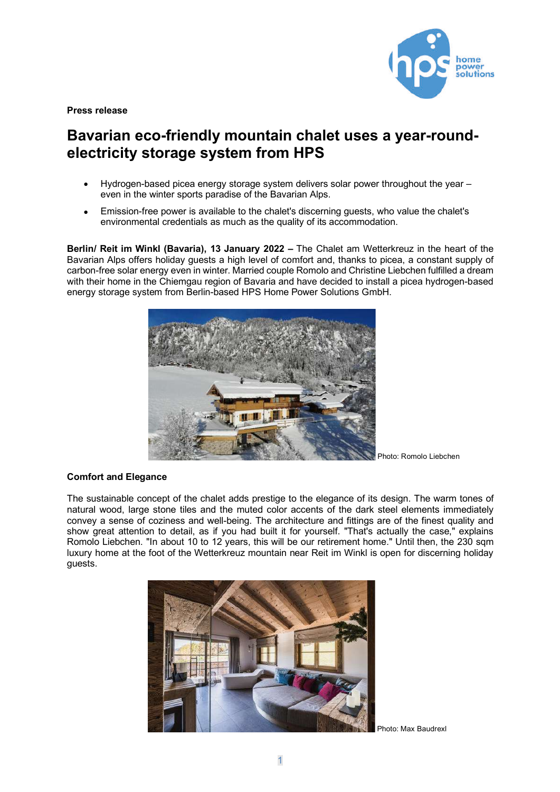

**Press release**

# **Bavarian eco-friendly mountain chalet uses a year-roundelectricity storage system from HPS**

- Hydrogen-based picea energy storage system delivers solar power throughout the year even in the winter sports paradise of the Bavarian Alps.
- Emission-free power is available to the chalet's discerning guests, who value the chalet's environmental credentials as much as the quality of its accommodation.

**Berlin/ Reit im Winkl (Bavaria), 13 January 2022 –** The Chalet am Wetterkreuz in the heart of the Bavarian Alps offers holiday guests a high level of comfort and, thanks to picea, a constant supply of carbon-free solar energy even in winter. Married couple Romolo and Christine Liebchen fulfilled a dream with their home in the Chiemgau region of Bavaria and have decided to install a picea hydrogen-based energy storage system from Berlin-based HPS Home Power Solutions GmbH.



Photo: Romolo Liebchen

# **Comfort and Elegance**

The sustainable concept of the chalet adds prestige to the elegance of its design. The warm tones of natural wood, large stone tiles and the muted color accents of the dark steel elements immediately convey a sense of coziness and well-being. The architecture and fittings are of the finest quality and show great attention to detail, as if you had built it for yourself. "That's actually the case," explains Romolo Liebchen. "In about 10 to 12 years, this will be our retirement home." Until then, the 230 sqm luxury home at the foot of the Wetterkreuz mountain near Reit im Winkl is open for discerning holiday guests.



Photo: Max Baudrexl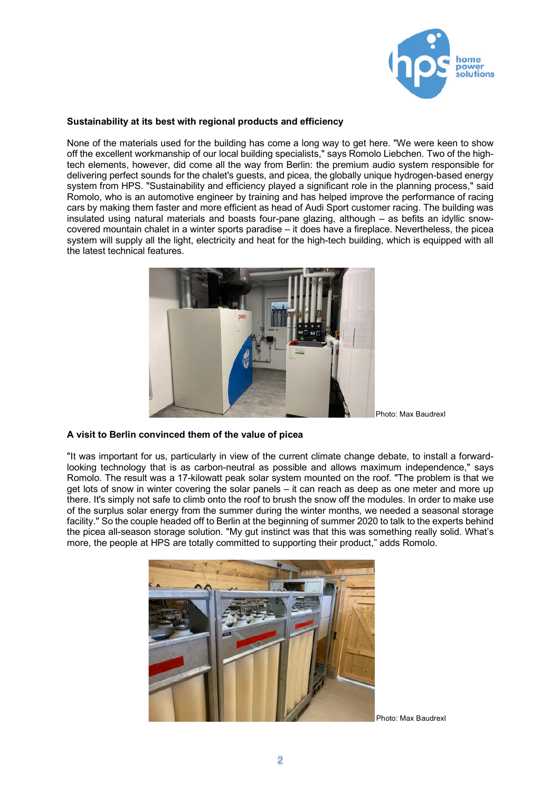

# **Sustainability at its best with regional products and efficiency**

None of the materials used for the building has come a long way to get here. "We were keen to show off the excellent workmanship of our local building specialists," says Romolo Liebchen. Two of the hightech elements, however, did come all the way from Berlin: the premium audio system responsible for delivering perfect sounds for the chalet's guests, and picea, the globally unique hydrogen-based energy system from HPS. "Sustainability and efficiency played a significant role in the planning process," said Romolo, who is an automotive engineer by training and has helped improve the performance of racing cars by making them faster and more efficient as head of Audi Sport customer racing. The building was insulated using natural materials and boasts four-pane glazing, although – as befits an idyllic snowcovered mountain chalet in a winter sports paradise – it does have a fireplace. Nevertheless, the picea system will supply all the light, electricity and heat for the high-tech building, which is equipped with all the latest technical features.



Photo: Max Baudrexl

#### **A visit to Berlin convinced them of the value of picea**

"It was important for us, particularly in view of the current climate change debate, to install a forwardlooking technology that is as carbon-neutral as possible and allows maximum independence," says Romolo. The result was a 17-kilowatt peak solar system mounted on the roof. "The problem is that we get lots of snow in winter covering the solar panels – it can reach as deep as one meter and more up there. It's simply not safe to climb onto the roof to brush the snow off the modules. In order to make use of the surplus solar energy from the summer during the winter months, we needed a seasonal storage facility." So the couple headed off to Berlin at the beginning of summer 2020 to talk to the experts behind the picea all-season storage solution. "My gut instinct was that this was something really solid. What's more, the people at HPS are totally committed to supporting their product," adds Romolo.



Photo: Max Baudrexl